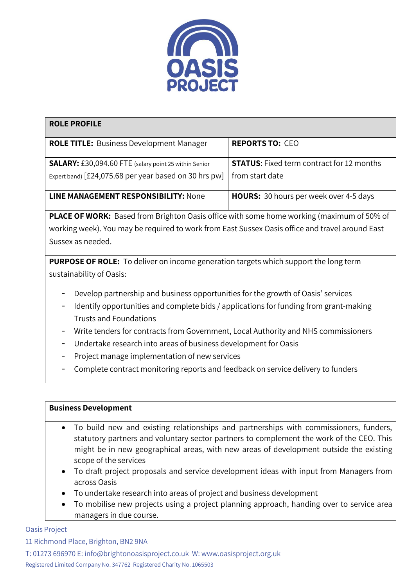

| <b>ROLE PROFILE</b>                                          |                                                  |
|--------------------------------------------------------------|--------------------------------------------------|
| <b>ROLE TITLE: Business Development Manager</b>              | <b>REPORTS TO: CEO</b>                           |
| <b>SALARY:</b> £30,094.60 FTE (salary point 25 within Senior | <b>STATUS:</b> Fixed term contract for 12 months |
| Expert band) [£24,075.68 per year based on 30 hrs pw]        | from start date                                  |
| LINE MANAGEMENT RESPONSIBILITY: None                         | HOURS: 30 hours per week over 4-5 days           |

**PLACE OF WORK:** Based from Brighton Oasis office with some home working (maximum of 50% of working week). You may be required to work from East Sussex Oasis office and travel around East Sussex as needed.

**PURPOSE OF ROLE:** To deliver on income generation targets which support the long term sustainability of Oasis:

- Develop partnership and business opportunities for the growth of Oasis' services
- Identify opportunities and complete bids / applications for funding from grant-making Trusts and Foundations
- Write tenders for contracts from Government, Local Authority and NHS commissioners
- Undertake research into areas of business development for Oasis
- Project manage implementation of new services
- Complete contract monitoring reports and feedback on service delivery to funders

## **Business Development**

- To build new and existing relationships and partnerships with commissioners, funders, statutory partners and voluntary sector partners to complement the work of the CEO. This might be in new geographical areas, with new areas of development outside the existing scope of the services
- To draft project proposals and service development ideas with input from Managers from across Oasis
- To undertake research into areas of project and business development
- To mobilise new projects using a project planning approach, handing over to service area managers in due course.

## Oasis Project

11 Richmond Place, Brighton, BN2 9NA

T: 01273 696970 E: [info@brightonoasisproject.co.uk](mailto:info@brightonoasisproject.co.uk) W: [www.oasisproject.org.uk](http://www.oasisproject.org.uk/) Registered Limited Company No. 347762 Registered Charity No. 1065503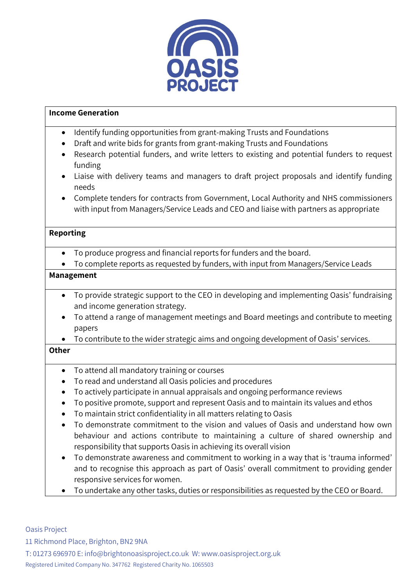

## **Income Generation**

- Identify funding opportunities from grant-making Trusts and Foundations
- Draft and write bids for grants from grant-making Trusts and Foundations
- Research potential funders, and write letters to existing and potential funders to request funding
- Liaise with delivery teams and managers to draft project proposals and identify funding needs
- Complete tenders for contracts from Government, Local Authority and NHS commissioners with input from Managers/Service Leads and CEO and liaise with partners as appropriate

## **Reporting**

- To produce progress and financial reports for funders and the board.
- To complete reports as requested by funders, with input from Managers/Service Leads

#### **Management**

- To provide strategic support to the CEO in developing and implementing Oasis' fundraising and income generation strategy.
- To attend a range of management meetings and Board meetings and contribute to meeting papers
- To contribute to the wider strategic aims and ongoing development of Oasis' services.

# **Other**

- To attend all mandatory training or courses
- To read and understand all Oasis policies and procedures
- To actively participate in annual appraisals and ongoing performance reviews
- To positive promote, support and represent Oasis and to maintain its values and ethos
- To maintain strict confidentiality in all matters relating to Oasis
- To demonstrate commitment to the vision and values of Oasis and understand how own behaviour and actions contribute to maintaining a culture of shared ownership and responsibility that supports Oasis in achieving its overall vision
- To demonstrate awareness and commitment to working in a way that is 'trauma informed' and to recognise this approach as part of Oasis' overall commitment to providing gender responsive services for women.
- To undertake any other tasks, duties or responsibilities as requested by the CEO or Board.

#### Oasis Project

11 Richmond Place, Brighton, BN2 9NA

T: 01273 696970 E: [info@brightonoasisproject.co.uk](mailto:info@brightonoasisproject.co.uk) W: [www.oasisproject.org.uk](http://www.oasisproject.org.uk/) Registered Limited Company No. 347762 Registered Charity No. 1065503